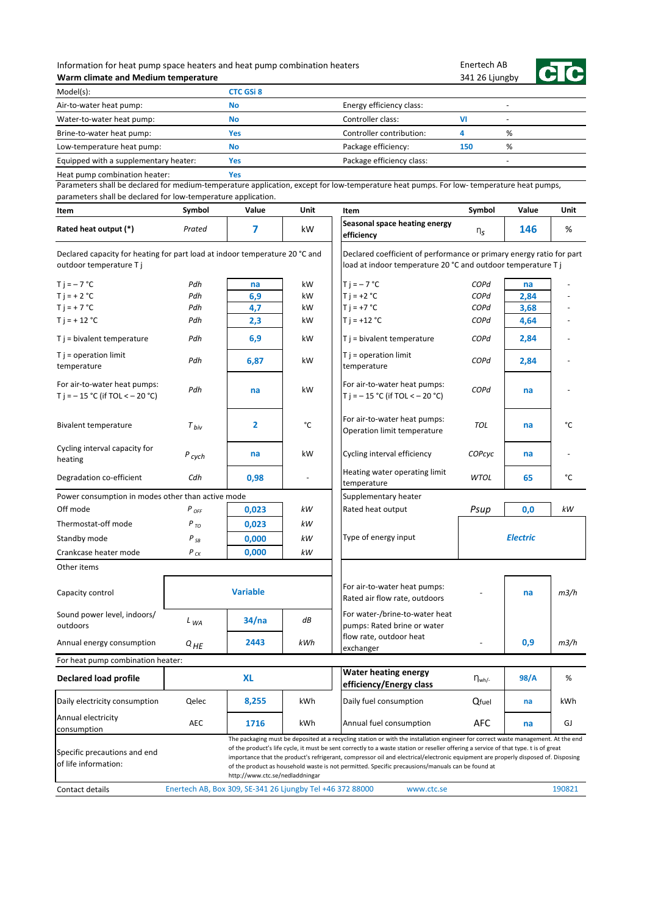## Information for heat pump space heaters and heat pump combination heaters **Warm climate and Medium temperature**

Enertech AB 341 26 Ljungby



| Model(s):                             | <b>CTC GSi 8</b> |                           |     |   |
|---------------------------------------|------------------|---------------------------|-----|---|
| Air-to-water heat pump:               | No               | Energy efficiency class:  |     |   |
| Water-to-water heat pump:             | No               | Controller class:         |     |   |
| Brine-to-water heat pump:             | Yes              | Controller contribution:  |     | % |
| Low-temperature heat pump:            | No               | Package efficiency:       | 150 | % |
| Equipped with a supplementary heater: | Yes              | Package efficiency class: |     |   |
| Heat pump combination heater:         | Yes              |                           |     |   |

Heat pump combination heater:

| Item                                                                                                  | Symbol                                                    | Value                           | Unit | Item                                                                                                                                                                                                                                                                                                                                                                                                                                                                                                                             | Symbol        | Value           | Unit   |
|-------------------------------------------------------------------------------------------------------|-----------------------------------------------------------|---------------------------------|------|----------------------------------------------------------------------------------------------------------------------------------------------------------------------------------------------------------------------------------------------------------------------------------------------------------------------------------------------------------------------------------------------------------------------------------------------------------------------------------------------------------------------------------|---------------|-----------------|--------|
| Rated heat output (*)                                                                                 | Prated                                                    | 7                               | kW   | Seasonal space heating energy<br>efficiency                                                                                                                                                                                                                                                                                                                                                                                                                                                                                      | $n_S$         | 146             | %      |
| Declared capacity for heating for part load at indoor temperature 20 °C and<br>outdoor temperature Tj |                                                           |                                 |      | Declared coefficient of performance or primary energy ratio for part<br>load at indoor temperature 20 °C and outdoor temperature T j                                                                                                                                                                                                                                                                                                                                                                                             |               |                 |        |
| $Ti = -7 °C$                                                                                          | Pdh                                                       | na                              | kW   | $T$ j = $-7$ °C                                                                                                                                                                                                                                                                                                                                                                                                                                                                                                                  | COPd          | na              |        |
| $T i = + 2 °C$                                                                                        | Pdh                                                       | 6,9                             | kW   | $T i = +2 °C$                                                                                                                                                                                                                                                                                                                                                                                                                                                                                                                    | COPd          | 2,84            |        |
| $T$ j = + 7 °C                                                                                        | Pdh                                                       | 4,7                             | kW   | $T i = +7 °C$                                                                                                                                                                                                                                                                                                                                                                                                                                                                                                                    | COPd          | 3,68            |        |
| $T$ j = + 12 °C                                                                                       | Pdh                                                       | 2,3                             | kW   | $T$ j = +12 °C                                                                                                                                                                                                                                                                                                                                                                                                                                                                                                                   | COPd          | 4,64            |        |
| $T j = bivalent temperature$                                                                          | Pdh                                                       | 6,9                             | kW   | $T$ j = bivalent temperature                                                                                                                                                                                                                                                                                                                                                                                                                                                                                                     | COPd          | 2,84            |        |
| $T j = operation$ limit<br>temperature                                                                | Pdh                                                       | 6,87                            | kW   | $T j = operation$ limit<br>temperature                                                                                                                                                                                                                                                                                                                                                                                                                                                                                           | COPd          | 2,84            |        |
| For air-to-water heat pumps:<br>T j = $-15$ °C (if TOL < $-20$ °C)                                    | Pdh                                                       | na                              | kW   | For air-to-water heat pumps:<br>T j = $-15$ °C (if TOL < $-20$ °C)                                                                                                                                                                                                                                                                                                                                                                                                                                                               | COPd          | na              |        |
| Bivalent temperature                                                                                  | $T_{hiv}$                                                 | 2                               | °C   | For air-to-water heat pumps:<br>Operation limit temperature                                                                                                                                                                                                                                                                                                                                                                                                                                                                      | <b>TOL</b>    | na              | °C     |
| Cycling interval capacity for<br>heating                                                              | $P_{\text{cych}}$                                         | na                              | kW   | Cycling interval efficiency                                                                                                                                                                                                                                                                                                                                                                                                                                                                                                      | COPcyc        | na              |        |
| Degradation co-efficient                                                                              | Cdh                                                       | 0,98                            |      | Heating water operating limit<br>temperature                                                                                                                                                                                                                                                                                                                                                                                                                                                                                     | <b>WTOL</b>   | 65              | °C     |
| Power consumption in modes other than active mode                                                     |                                                           |                                 |      | Supplementary heater                                                                                                                                                                                                                                                                                                                                                                                                                                                                                                             |               |                 |        |
| Off mode                                                                                              | P <sub>OFF</sub>                                          | 0,023                           | kW   | Rated heat output                                                                                                                                                                                                                                                                                                                                                                                                                                                                                                                | Psup          | 0,0             | kW     |
| Thermostat-off mode                                                                                   | $P_{TO}$                                                  | 0,023                           | kW   |                                                                                                                                                                                                                                                                                                                                                                                                                                                                                                                                  |               |                 |        |
| Standby mode                                                                                          | $P_{SB}$                                                  | 0,000                           | kW   | Type of energy input                                                                                                                                                                                                                                                                                                                                                                                                                                                                                                             |               | <b>Electric</b> |        |
| Crankcase heater mode                                                                                 | $P_{CK}$                                                  | 0,000                           | kW   |                                                                                                                                                                                                                                                                                                                                                                                                                                                                                                                                  |               |                 |        |
| Other items                                                                                           |                                                           |                                 |      |                                                                                                                                                                                                                                                                                                                                                                                                                                                                                                                                  |               |                 |        |
| Capacity control                                                                                      |                                                           | <b>Variable</b>                 |      | For air-to-water heat pumps:<br>Rated air flow rate, outdoors                                                                                                                                                                                                                                                                                                                                                                                                                                                                    |               | na              | m3/h   |
| Sound power level, indoors/<br>outdoors                                                               | $L_{WA}$                                                  | 34/na                           | dB   | For water-/brine-to-water heat<br>pumps: Rated brine or water                                                                                                                                                                                                                                                                                                                                                                                                                                                                    |               |                 |        |
| Annual energy consumption                                                                             | $Q_{HE}$                                                  | 2443                            | kWh  | flow rate, outdoor heat<br>exchanger                                                                                                                                                                                                                                                                                                                                                                                                                                                                                             |               | 0,9             | m3/h   |
| For heat pump combination heater:                                                                     |                                                           |                                 |      |                                                                                                                                                                                                                                                                                                                                                                                                                                                                                                                                  |               |                 |        |
| Declared load profile                                                                                 |                                                           | <b>XL</b>                       |      | <b>Water heating energy</b><br>efficiency/Energy class                                                                                                                                                                                                                                                                                                                                                                                                                                                                           | $\eta_{wh/-}$ | 98/A            | %      |
| Daily electricity consumption                                                                         | Qelec                                                     | 8,255                           | kWh  | Daily fuel consumption                                                                                                                                                                                                                                                                                                                                                                                                                                                                                                           | Qfuel         | na              | kWh    |
| Annual electricity<br>consumption                                                                     | AEC                                                       | 1716                            | kWh  | Annual fuel consumption                                                                                                                                                                                                                                                                                                                                                                                                                                                                                                          | <b>AFC</b>    | na              | GJ     |
| Specific precautions and end<br>of life information:<br>Contact details                               | Enertech AB, Box 309, SE-341 26 Ljungby Tel +46 372 88000 | http://www.ctc.se/nedladdningar |      | The packaging must be deposited at a recycling station or with the installation engineer for correct waste management. At the end<br>of the product's life cycle, it must be sent correctly to a waste station or reseller offering a service of that type. t is of great<br>importance that the product's refrigerant, compressor oil and electrical/electronic equipment are properly disposed of. Disposing<br>of the product as household waste is not permitted. Specific precausions/manuals can be found at<br>www.ctc.se |               |                 | 190821 |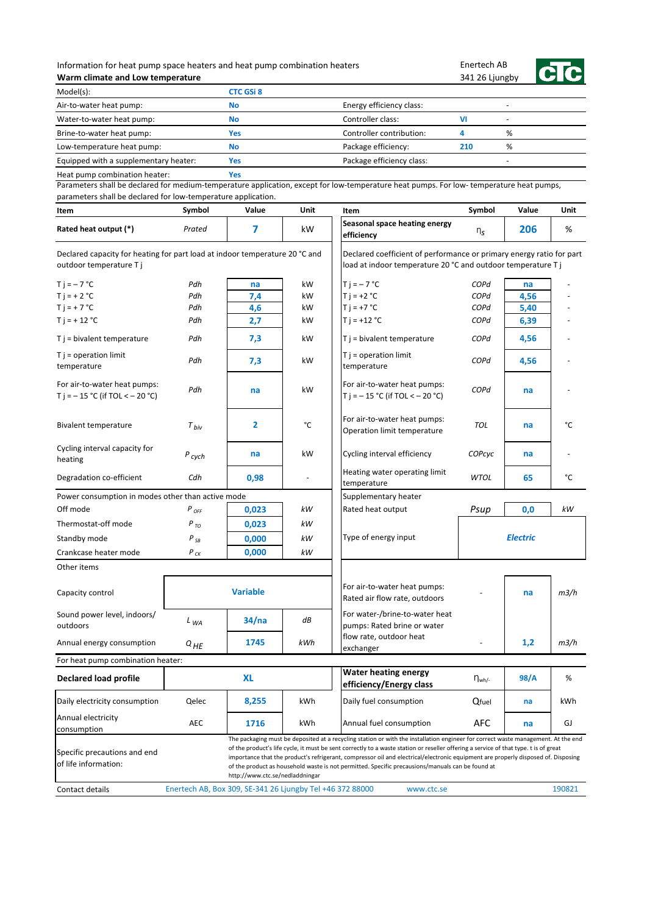## Information for heat pump space heaters and heat pump combination heaters **Warm climate and Low temperature**

Enertech AB 341 26 Ljungby



| Model(s):                             | <b>CTC GSi 8</b> |                           |     |   |  |
|---------------------------------------|------------------|---------------------------|-----|---|--|
| Air-to-water heat pump:               | <b>No</b>        | Energy efficiency class:  |     |   |  |
| Water-to-water heat pump:             | <b>No</b>        | Controller class:         | vı  |   |  |
| Brine-to-water heat pump:             | Yes              | Controller contribution:  |     | % |  |
| Low-temperature heat pump:            | <b>No</b>        | Package efficiency:       | 210 | % |  |
| Equipped with a supplementary heater: | Yes              | Package efficiency class: |     |   |  |
| Heat pump combination heater:         | es/              |                           |     |   |  |

Heat pump combination heater:

| Item                                                                                                  | Symbol                                                    | Value                           | <b>Unit</b> | Item                                                                                                                                                                                                                                                                                                                                                                                                                                                                                                               | Symbol        | Value           | <b>Unit</b> |
|-------------------------------------------------------------------------------------------------------|-----------------------------------------------------------|---------------------------------|-------------|--------------------------------------------------------------------------------------------------------------------------------------------------------------------------------------------------------------------------------------------------------------------------------------------------------------------------------------------------------------------------------------------------------------------------------------------------------------------------------------------------------------------|---------------|-----------------|-------------|
| Rated heat output (*)                                                                                 | Prated                                                    | 7                               | kW          | Seasonal space heating energy<br>efficiency                                                                                                                                                                                                                                                                                                                                                                                                                                                                        | $n_S$         | 206             | %           |
| Declared capacity for heating for part load at indoor temperature 20 °C and<br>outdoor temperature Tj |                                                           |                                 |             | Declared coefficient of performance or primary energy ratio for part<br>load at indoor temperature 20 °C and outdoor temperature T j                                                                                                                                                                                                                                                                                                                                                                               |               |                 |             |
| $Ti = -7 °C$                                                                                          | Pdh                                                       | na                              | kW          | $Ti = -7 °C$                                                                                                                                                                                                                                                                                                                                                                                                                                                                                                       | COPd          | na              |             |
| $T i = + 2 °C$                                                                                        | Pdh                                                       | 7,4                             | kW          | $T i = +2 °C$                                                                                                                                                                                                                                                                                                                                                                                                                                                                                                      | COPd          | 4,56            |             |
| $T j = + 7 °C$                                                                                        | Pdh                                                       | 4,6                             | kW          | $T i = +7 °C$                                                                                                                                                                                                                                                                                                                                                                                                                                                                                                      | COPd          | 5,40            |             |
| $T$ j = + 12 °C                                                                                       | Pdh                                                       | 2,7                             | kW          | $T i = +12 °C$                                                                                                                                                                                                                                                                                                                                                                                                                                                                                                     | COPd          | 6,39            |             |
| $T$ j = bivalent temperature                                                                          | Pdh                                                       | 7,3                             | kW          | T j = bivalent temperature                                                                                                                                                                                                                                                                                                                                                                                                                                                                                         | COPd          | 4,56            |             |
| $T j = operation$ limit<br>temperature                                                                | Pdh                                                       | 7,3                             | kW          | $T j = operation$ limit<br>temperature                                                                                                                                                                                                                                                                                                                                                                                                                                                                             | COPd          | 4,56            |             |
| For air-to-water heat pumps:<br>T j = $-15$ °C (if TOL < $-20$ °C)                                    | Pdh                                                       | na                              | kW          | For air-to-water heat pumps:<br>T j = $-15$ °C (if TOL < $-20$ °C)                                                                                                                                                                                                                                                                                                                                                                                                                                                 | COPd          | na              |             |
| Bivalent temperature                                                                                  | $T_{biv}$                                                 | $\overline{2}$                  | °C          | For air-to-water heat pumps:<br>Operation limit temperature                                                                                                                                                                                                                                                                                                                                                                                                                                                        | <b>TOL</b>    | na              | °C          |
| Cycling interval capacity for<br>heating                                                              | $P_{cych}$                                                | na                              | kW          | Cycling interval efficiency                                                                                                                                                                                                                                                                                                                                                                                                                                                                                        | COPcyc        | na              |             |
| Degradation co-efficient                                                                              | Cdh                                                       | 0,98                            |             | Heating water operating limit<br>temperature                                                                                                                                                                                                                                                                                                                                                                                                                                                                       | WTOL          | 65              | °C          |
| Power consumption in modes other than active mode                                                     |                                                           |                                 |             | Supplementary heater                                                                                                                                                                                                                                                                                                                                                                                                                                                                                               |               |                 |             |
| Off mode                                                                                              | $P_{OFF}$                                                 | 0,023                           | kW          | Rated heat output                                                                                                                                                                                                                                                                                                                                                                                                                                                                                                  | Psup          | 0,0             | kW          |
| Thermostat-off mode                                                                                   | $P_{TO}$                                                  | 0,023                           | kW          |                                                                                                                                                                                                                                                                                                                                                                                                                                                                                                                    |               |                 |             |
| Standby mode                                                                                          | $P_{SB}$                                                  | 0,000                           | kW          | Type of energy input                                                                                                                                                                                                                                                                                                                                                                                                                                                                                               |               | <b>Electric</b> |             |
| Crankcase heater mode                                                                                 | $P_{CK}$                                                  | 0,000                           | kW          |                                                                                                                                                                                                                                                                                                                                                                                                                                                                                                                    |               |                 |             |
| Other items                                                                                           |                                                           |                                 |             |                                                                                                                                                                                                                                                                                                                                                                                                                                                                                                                    |               |                 |             |
| Capacity control                                                                                      |                                                           | <b>Variable</b>                 |             | For air-to-water heat pumps:<br>Rated air flow rate, outdoors                                                                                                                                                                                                                                                                                                                                                                                                                                                      |               | na              | m3/h        |
| Sound power level, indoors/<br>outdoors                                                               | $L_{WA}$                                                  | 34/na                           | dB          | For water-/brine-to-water heat<br>pumps: Rated brine or water                                                                                                                                                                                                                                                                                                                                                                                                                                                      |               |                 |             |
| Annual energy consumption                                                                             | $Q_{HE}$                                                  | 1745                            | kWh         | flow rate, outdoor heat<br>exchanger                                                                                                                                                                                                                                                                                                                                                                                                                                                                               |               | 1,2             | m3/h        |
| For heat pump combination heater:                                                                     |                                                           |                                 |             |                                                                                                                                                                                                                                                                                                                                                                                                                                                                                                                    |               |                 |             |
| <b>Declared load profile</b>                                                                          |                                                           | <b>XL</b>                       |             | <b>Water heating energy</b><br>efficiency/Energy class                                                                                                                                                                                                                                                                                                                                                                                                                                                             | $\eta_{wh/-}$ | 98/A            | %           |
| Daily electricity consumption                                                                         | Qelec                                                     | 8,255                           | kWh         | Daily fuel consumption                                                                                                                                                                                                                                                                                                                                                                                                                                                                                             | Qfuel         | na              | kWh         |
| Annual electricity<br>consumption                                                                     | AEC                                                       | 1716                            | kWh         | Annual fuel consumption                                                                                                                                                                                                                                                                                                                                                                                                                                                                                            | <b>AFC</b>    | na              | GJ          |
| Specific precautions and end<br>of life information:                                                  |                                                           | http://www.ctc.se/nedladdningar |             | The packaging must be deposited at a recycling station or with the installation engineer for correct waste management. At the end<br>of the product's life cycle, it must be sent correctly to a waste station or reseller offering a service of that type. t is of great<br>importance that the product's refrigerant, compressor oil and electrical/electronic equipment are properly disposed of. Disposing<br>of the product as household waste is not permitted. Specific precausions/manuals can be found at |               |                 |             |
| Contact details                                                                                       | Enertech AB, Box 309, SE-341 26 Ljungby Tel +46 372 88000 |                                 |             | www.ctc.se                                                                                                                                                                                                                                                                                                                                                                                                                                                                                                         |               |                 | 190821      |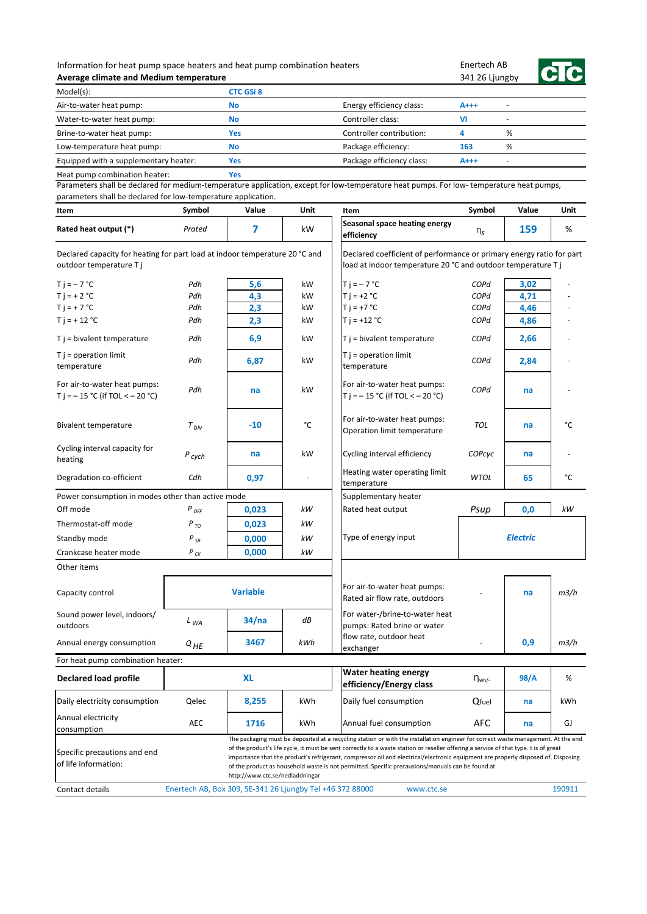| Information for heat pump space heaters and heat pump combination heaters |  |
|---------------------------------------------------------------------------|--|
| Average climate and Medium temperature                                    |  |

**Yes**

Enertech AB 341 26 Ljungby



| Model(s):                             | CTC GSi 8 |                           |       |   |
|---------------------------------------|-----------|---------------------------|-------|---|
| Air-to-water heat pump:               | No        | Energy efficiency class:  | $A++$ | ٠ |
| Water-to-water heat pump:             | No        | Controller class:         |       | - |
| Brine-to-water heat pump:             | Yes       | Controller contribution:  |       | % |
| Low-temperature heat pump:            | No        | Package efficiency:       | 163   | % |
| Equipped with a supplementary heater: | Yes       | Package efficiency class: | $A++$ | - |

Heat pump combination heater:

| Item                                                                                                  | Symbol                                                    | Value                           | Unit | Item                                                                                                                                                                                                                                                                                                                                                                                                                                                                                                                             | Symbol      | Value           | Unit   |
|-------------------------------------------------------------------------------------------------------|-----------------------------------------------------------|---------------------------------|------|----------------------------------------------------------------------------------------------------------------------------------------------------------------------------------------------------------------------------------------------------------------------------------------------------------------------------------------------------------------------------------------------------------------------------------------------------------------------------------------------------------------------------------|-------------|-----------------|--------|
| Rated heat output (*)                                                                                 | Prated                                                    | 7                               | kW   | Seasonal space heating energy<br>efficiency                                                                                                                                                                                                                                                                                                                                                                                                                                                                                      | $n_{\rm s}$ | 159             | %      |
| Declared capacity for heating for part load at indoor temperature 20 °C and<br>outdoor temperature Tj |                                                           |                                 |      | Declared coefficient of performance or primary energy ratio for part<br>load at indoor temperature 20 °C and outdoor temperature T j                                                                                                                                                                                                                                                                                                                                                                                             |             |                 |        |
| $Ti = -7 °C$                                                                                          | Pdh                                                       | 5,6                             | kW   | $Ti = -7 °C$                                                                                                                                                                                                                                                                                                                                                                                                                                                                                                                     | COPd        | 3,02            |        |
| $T i = + 2 °C$                                                                                        | Pdh                                                       | 4,3                             | kW   | $T i = +2 °C$                                                                                                                                                                                                                                                                                                                                                                                                                                                                                                                    | COPd        | 4,71            |        |
| $T j = + 7 °C$                                                                                        | Pdh                                                       | 2,3                             | kW   | $T i = +7 °C$                                                                                                                                                                                                                                                                                                                                                                                                                                                                                                                    | COPd        | 4,46            |        |
| $T$ j = + 12 °C                                                                                       | Pdh                                                       | 2,3                             | kW   | $T$ j = +12 °C                                                                                                                                                                                                                                                                                                                                                                                                                                                                                                                   | COPd        | 4,86            |        |
| $T j = bivalent temperature$                                                                          | Pdh                                                       | 6,9                             | kW   | $T j = bivalent temperature$                                                                                                                                                                                                                                                                                                                                                                                                                                                                                                     | COPd        | 2,66            |        |
| $T$ j = operation limit<br>temperature                                                                | Pdh                                                       | 6,87                            | kW   | $T j = operation$ limit<br>temperature                                                                                                                                                                                                                                                                                                                                                                                                                                                                                           | COPd        | 2,84            |        |
| For air-to-water heat pumps:<br>T j = $-15$ °C (if TOL < $-20$ °C)                                    | Pdh                                                       | na                              | kW   | For air-to-water heat pumps:<br>T j = $-15$ °C (if TOL < $-20$ °C)                                                                                                                                                                                                                                                                                                                                                                                                                                                               | COPd        | na              |        |
| <b>Bivalent temperature</b>                                                                           | $T_{biv}$                                                 | $-10$                           | °C   | For air-to-water heat pumps:<br>Operation limit temperature                                                                                                                                                                                                                                                                                                                                                                                                                                                                      | <b>TOL</b>  | na              | °C     |
| Cycling interval capacity for<br>heating                                                              | $P_{cych}$                                                | na                              | kW   | Cycling interval efficiency                                                                                                                                                                                                                                                                                                                                                                                                                                                                                                      | COPcyc      | na              |        |
| Degradation co-efficient                                                                              | Cdh                                                       | 0,97                            |      | Heating water operating limit<br>temperature                                                                                                                                                                                                                                                                                                                                                                                                                                                                                     | <b>WTOL</b> | 65              | °C     |
| Power consumption in modes other than active mode                                                     |                                                           |                                 |      | Supplementary heater                                                                                                                                                                                                                                                                                                                                                                                                                                                                                                             |             |                 |        |
| Off mode                                                                                              | P <sub>OFF</sub>                                          | 0,023                           | kW   | Rated heat output                                                                                                                                                                                                                                                                                                                                                                                                                                                                                                                | Psup        | 0,0             | kW     |
| Thermostat-off mode                                                                                   | $P_{TO}$                                                  | 0,023                           | kW   |                                                                                                                                                                                                                                                                                                                                                                                                                                                                                                                                  |             |                 |        |
| Standby mode                                                                                          | $P_{SB}$                                                  | 0,000                           | kW   | Type of energy input                                                                                                                                                                                                                                                                                                                                                                                                                                                                                                             |             | <b>Electric</b> |        |
| Crankcase heater mode                                                                                 | $P_{CK}$                                                  | 0,000                           | kW   |                                                                                                                                                                                                                                                                                                                                                                                                                                                                                                                                  |             |                 |        |
| Other items                                                                                           |                                                           |                                 |      |                                                                                                                                                                                                                                                                                                                                                                                                                                                                                                                                  |             |                 |        |
| Capacity control                                                                                      |                                                           | <b>Variable</b>                 |      | For air-to-water heat pumps:<br>Rated air flow rate, outdoors                                                                                                                                                                                                                                                                                                                                                                                                                                                                    |             | na              | m3/h   |
| Sound power level, indoors/<br>outdoors                                                               | $L_{WA}$                                                  | 34/na                           | dB   | For water-/brine-to-water heat<br>pumps: Rated brine or water                                                                                                                                                                                                                                                                                                                                                                                                                                                                    |             |                 |        |
| Annual energy consumption                                                                             | $Q_{HE}$                                                  | 3467                            | kWh  | flow rate, outdoor heat<br>exchanger                                                                                                                                                                                                                                                                                                                                                                                                                                                                                             |             | 0,9             | m3/h   |
| For heat pump combination heater:                                                                     |                                                           |                                 |      |                                                                                                                                                                                                                                                                                                                                                                                                                                                                                                                                  |             |                 |        |
| <b>Declared load profile</b>                                                                          |                                                           | <b>XL</b>                       |      | <b>Water heating energy</b><br>efficiency/Energy class                                                                                                                                                                                                                                                                                                                                                                                                                                                                           | $\eta_{wh}$ | 98/A            | %      |
| Daily electricity consumption                                                                         | Qelec                                                     | 8,255                           | kWh  | Daily fuel consumption                                                                                                                                                                                                                                                                                                                                                                                                                                                                                                           | Qfuel       | na              | kWh    |
| Annual electricity<br>consumption                                                                     | AEC                                                       | 1716                            | kWh  | Annual fuel consumption                                                                                                                                                                                                                                                                                                                                                                                                                                                                                                          | <b>AFC</b>  | na              | GJ     |
| Specific precautions and end<br>of life information:<br>Contact details                               | Enertech AB, Box 309, SE-341 26 Ljungby Tel +46 372 88000 | http://www.ctc.se/nedladdningar |      | The packaging must be deposited at a recycling station or with the installation engineer for correct waste management. At the end<br>of the product's life cycle, it must be sent correctly to a waste station or reseller offering a service of that type. t is of great<br>importance that the product's refrigerant, compressor oil and electrical/electronic equipment are properly disposed of. Disposing<br>of the product as household waste is not permitted. Specific precausions/manuals can be found at<br>www.ctc.se |             |                 | 190911 |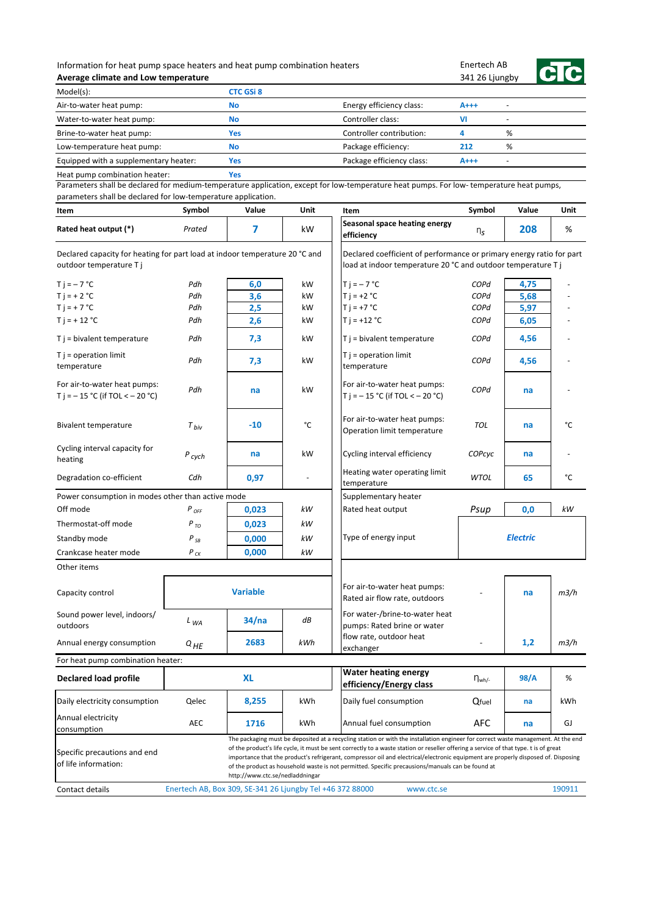## Information for heat pump space heaters and heat pump combination heaters **Average climate and Low temperature**

Enertech AB 341 26 Ljungby



| Model(s):                             | <b>CTC GSi 8</b> |                           |       |                          |
|---------------------------------------|------------------|---------------------------|-------|--------------------------|
| Air-to-water heat pump:               | <b>No</b>        | Energy efficiency class:  | $A++$ | $\overline{\phantom{0}}$ |
| Water-to-water heat pump:             | <b>No</b>        | Controller class:         | VI    | -                        |
| Brine-to-water heat pump:             | Yes              | Controller contribution:  |       | %                        |
| Low-temperature heat pump:            | <b>No</b>        | Package efficiency:       | 212   | %                        |
| Equipped with a supplementary heater: | Yes              | Package efficiency class: | $A++$ | $\overline{\phantom{0}}$ |
| Heat pump combination heater:         | Yes              |                           |       |                          |

Heat pump combination heater:

| Item                                                                                                  | Symbol                                                    | Value                           | <b>Unit</b> | Item                                                                                                                                                                                                                                                                                                                                                                                                                                                                                                               | Symbol        | Value           | <b>Unit</b> |
|-------------------------------------------------------------------------------------------------------|-----------------------------------------------------------|---------------------------------|-------------|--------------------------------------------------------------------------------------------------------------------------------------------------------------------------------------------------------------------------------------------------------------------------------------------------------------------------------------------------------------------------------------------------------------------------------------------------------------------------------------------------------------------|---------------|-----------------|-------------|
| Rated heat output (*)                                                                                 | Prated                                                    | 7                               | kW          | Seasonal space heating energy<br>efficiency                                                                                                                                                                                                                                                                                                                                                                                                                                                                        | $n_S$         | 208             | %           |
| Declared capacity for heating for part load at indoor temperature 20 °C and<br>outdoor temperature Tj |                                                           |                                 |             | Declared coefficient of performance or primary energy ratio for part<br>load at indoor temperature 20 °C and outdoor temperature T j                                                                                                                                                                                                                                                                                                                                                                               |               |                 |             |
| $Ti = -7 °C$                                                                                          | Pdh                                                       | 6,0                             | kW          | $T j = -7 °C$                                                                                                                                                                                                                                                                                                                                                                                                                                                                                                      | COPd          | 4,75            |             |
| $T i = + 2 °C$                                                                                        | Pdh                                                       | 3,6                             | kW          | $T i = +2 °C$                                                                                                                                                                                                                                                                                                                                                                                                                                                                                                      | COPd          | 5,68            |             |
| $T$ j = + 7 °C                                                                                        | Pdh                                                       | 2,5                             | kW          | $T i = +7 °C$                                                                                                                                                                                                                                                                                                                                                                                                                                                                                                      | COPd          | 5,97            |             |
| $T i = + 12 °C$                                                                                       | Pdh                                                       | 2,6                             | kW          | $T i = +12 °C$                                                                                                                                                                                                                                                                                                                                                                                                                                                                                                     | COPd          | 6,05            |             |
| $T j = bivalent temperature$                                                                          | Pdh                                                       | 7,3                             | kW          | $T$ j = bivalent temperature                                                                                                                                                                                                                                                                                                                                                                                                                                                                                       | COPd          | 4,56            |             |
| $T$ j = operation limit<br>temperature                                                                | Pdh                                                       | 7,3                             | kW          | $T$ j = operation limit<br>temperature                                                                                                                                                                                                                                                                                                                                                                                                                                                                             | COPd          | 4,56            |             |
| For air-to-water heat pumps:<br>T j = $-15$ °C (if TOL < $-20$ °C)                                    | Pdh                                                       | na                              | kW          | For air-to-water heat pumps:<br>T j = $-15$ °C (if TOL < $-20$ °C)                                                                                                                                                                                                                                                                                                                                                                                                                                                 | COPd          | na              |             |
| Bivalent temperature                                                                                  | $T_{biv}$                                                 | -10                             | °C          | For air-to-water heat pumps:<br>Operation limit temperature                                                                                                                                                                                                                                                                                                                                                                                                                                                        | TOL           | na              | °C          |
| Cycling interval capacity for<br>heating                                                              | $P_{\text{cych}}$                                         | na                              | kW          | Cycling interval efficiency                                                                                                                                                                                                                                                                                                                                                                                                                                                                                        | COPcyc        | na              |             |
| Degradation co-efficient                                                                              | Cdh                                                       | 0,97                            |             | Heating water operating limit<br>temperature                                                                                                                                                                                                                                                                                                                                                                                                                                                                       | <b>WTOL</b>   | 65              | °C          |
| Power consumption in modes other than active mode                                                     |                                                           |                                 |             | Supplementary heater                                                                                                                                                                                                                                                                                                                                                                                                                                                                                               |               |                 |             |
| Off mode                                                                                              | P <sub>OFF</sub>                                          | 0,023                           | kW          | Rated heat output                                                                                                                                                                                                                                                                                                                                                                                                                                                                                                  | Psup          | 0,0             | kW          |
| Thermostat-off mode                                                                                   | $P_{TO}$                                                  | 0,023                           | kW          |                                                                                                                                                                                                                                                                                                                                                                                                                                                                                                                    |               |                 |             |
| Standby mode                                                                                          | $P_{SB}$                                                  | 0,000                           | kW          | Type of energy input                                                                                                                                                                                                                                                                                                                                                                                                                                                                                               |               | <b>Electric</b> |             |
| Crankcase heater mode                                                                                 | $P_{CK}$                                                  | 0,000                           | kW          |                                                                                                                                                                                                                                                                                                                                                                                                                                                                                                                    |               |                 |             |
| Other items                                                                                           |                                                           |                                 |             |                                                                                                                                                                                                                                                                                                                                                                                                                                                                                                                    |               |                 |             |
| Capacity control                                                                                      |                                                           | <b>Variable</b>                 |             | For air-to-water heat pumps:<br>Rated air flow rate, outdoors                                                                                                                                                                                                                                                                                                                                                                                                                                                      |               | na              | m3/h        |
| Sound power level, indoors/<br>outdoors                                                               | $L_{WA}$                                                  | 34/na                           | dB          | For water-/brine-to-water heat<br>pumps: Rated brine or water                                                                                                                                                                                                                                                                                                                                                                                                                                                      |               |                 |             |
| Annual energy consumption                                                                             | $Q_{HE}$                                                  | 2683                            | kWh         | flow rate, outdoor heat<br>exchanger                                                                                                                                                                                                                                                                                                                                                                                                                                                                               |               | 1,2             | m3/h        |
| For heat pump combination heater:                                                                     |                                                           |                                 |             |                                                                                                                                                                                                                                                                                                                                                                                                                                                                                                                    |               |                 |             |
| <b>Declared load profile</b>                                                                          |                                                           | <b>XL</b>                       |             | <b>Water heating energy</b><br>efficiency/Energy class                                                                                                                                                                                                                                                                                                                                                                                                                                                             | $\eta_{wh/-}$ | 98/A            | %           |
| Daily electricity consumption                                                                         | Qelec                                                     | 8,255                           | kWh         | Daily fuel consumption                                                                                                                                                                                                                                                                                                                                                                                                                                                                                             | Qfuel         | na              | kWh         |
| Annual electricity<br>consumption                                                                     | AEC                                                       | 1716                            | kWh         | Annual fuel consumption                                                                                                                                                                                                                                                                                                                                                                                                                                                                                            | <b>AFC</b>    | na              | GJ          |
| Specific precautions and end<br>of life information:                                                  |                                                           | http://www.ctc.se/nedladdningar |             | The packaging must be deposited at a recycling station or with the installation engineer for correct waste management. At the end<br>of the product's life cycle, it must be sent correctly to a waste station or reseller offering a service of that type. t is of great<br>importance that the product's refrigerant, compressor oil and electrical/electronic equipment are properly disposed of. Disposing<br>of the product as household waste is not permitted. Specific precausions/manuals can be found at |               |                 |             |
| Contact details                                                                                       | Enertech AB, Box 309, SE-341 26 Ljungby Tel +46 372 88000 |                                 |             | www.ctc.se                                                                                                                                                                                                                                                                                                                                                                                                                                                                                                         |               |                 | 190911      |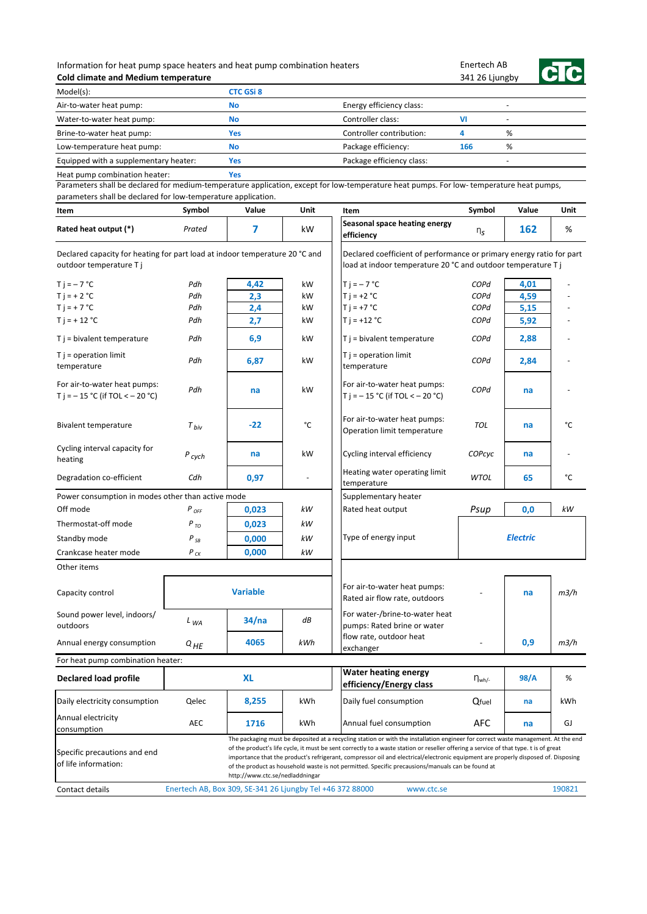## Information for heat pump space heaters and heat pump combination heaters **Cold climate and Medium temperature**

Enertech AB 341 26 Ljungby



| Model(s):                             | <b>CTC GSi 8</b> |                           |     |   |  |
|---------------------------------------|------------------|---------------------------|-----|---|--|
| Air-to-water heat pump:               | <b>No</b>        | Energy efficiency class:  |     |   |  |
| Water-to-water heat pump:             | <b>No</b>        | Controller class:         | vı  |   |  |
| Brine-to-water heat pump:             | Yes              | Controller contribution:  |     | % |  |
| Low-temperature heat pump:            | <b>No</b>        | Package efficiency:       | 166 | % |  |
| Equipped with a supplementary heater: | Yes              | Package efficiency class: |     |   |  |
| Heat pump combination heater:         | Yes              |                           |     |   |  |

| Item                                                                                                   | Symbol                                                    | Value                           | Unit | Item                                                                                                                                                                                                                                                                                                                                                                                                                                                                                                               | Symbol         | Value           | Unit   |
|--------------------------------------------------------------------------------------------------------|-----------------------------------------------------------|---------------------------------|------|--------------------------------------------------------------------------------------------------------------------------------------------------------------------------------------------------------------------------------------------------------------------------------------------------------------------------------------------------------------------------------------------------------------------------------------------------------------------------------------------------------------------|----------------|-----------------|--------|
| Rated heat output (*)                                                                                  | Prated                                                    | 7                               | kW   | Seasonal space heating energy<br>efficiency                                                                                                                                                                                                                                                                                                                                                                                                                                                                        | n <sub>s</sub> | 162             | %      |
| Declared capacity for heating for part load at indoor temperature 20 °C and<br>outdoor temperature T j |                                                           |                                 |      | Declared coefficient of performance or primary energy ratio for part<br>load at indoor temperature 20 °C and outdoor temperature T j                                                                                                                                                                                                                                                                                                                                                                               |                |                 |        |
| $T$ j = $-7$ °C                                                                                        | Pdh                                                       | 4,42                            | kW   | $T j = -7 °C$                                                                                                                                                                                                                                                                                                                                                                                                                                                                                                      | COPd           | 4,01            |        |
| $T i = + 2 °C$                                                                                         | Pdh                                                       | 2,3                             | kW   | $T i = +2 °C$                                                                                                                                                                                                                                                                                                                                                                                                                                                                                                      | COPd           | 4,59            |        |
| $T i = + 7 °C$                                                                                         | Pdh                                                       | 2,4                             | kW   | $T i = +7 °C$                                                                                                                                                                                                                                                                                                                                                                                                                                                                                                      | COPd           | 5,15            |        |
| $T$ j = + 12 °C                                                                                        | Pdh                                                       | 2,7                             | kW   | $T$ j = +12 °C                                                                                                                                                                                                                                                                                                                                                                                                                                                                                                     | COPd           | 5,92            |        |
| $T j = bivalent temperature$                                                                           | Pdh                                                       | 6,9                             | kW   | $T$ j = bivalent temperature                                                                                                                                                                                                                                                                                                                                                                                                                                                                                       | COPd           | 2,88            |        |
| $T$ j = operation limit<br>temperature                                                                 | Pdh                                                       | 6,87                            | kW   | $T j = operation$ limit<br>temperature                                                                                                                                                                                                                                                                                                                                                                                                                                                                             | COPd           | 2,84            |        |
| For air-to-water heat pumps:<br>T j = $-15$ °C (if TOL < $-20$ °C)                                     | Pdh                                                       | na                              | kW   | For air-to-water heat pumps:<br>T j = $-15$ °C (if TOL < $-20$ °C)                                                                                                                                                                                                                                                                                                                                                                                                                                                 | COPd           | na              |        |
| <b>Bivalent temperature</b>                                                                            | $T_{biv}$                                                 | $-22$                           | °C   | For air-to-water heat pumps:<br>Operation limit temperature                                                                                                                                                                                                                                                                                                                                                                                                                                                        | TOL            | na              | °C     |
| Cycling interval capacity for<br>heating                                                               | $P_{\text{cych}}$                                         | na                              | kW   | Cycling interval efficiency                                                                                                                                                                                                                                                                                                                                                                                                                                                                                        | COPcyc         | na              |        |
| Degradation co-efficient                                                                               | Cdh                                                       | 0,97                            |      | Heating water operating limit<br>temperature                                                                                                                                                                                                                                                                                                                                                                                                                                                                       | <b>WTOL</b>    | 65              | °C     |
| Power consumption in modes other than active mode                                                      |                                                           |                                 |      | Supplementary heater                                                                                                                                                                                                                                                                                                                                                                                                                                                                                               |                |                 |        |
| Off mode                                                                                               | $P_{OFF}$                                                 | 0,023                           | kW   | Rated heat output                                                                                                                                                                                                                                                                                                                                                                                                                                                                                                  | Psup           | 0,0             | kW     |
| Thermostat-off mode                                                                                    | $P_{TQ}$                                                  | 0,023                           | kW   |                                                                                                                                                                                                                                                                                                                                                                                                                                                                                                                    |                |                 |        |
| Standby mode                                                                                           | $P_{SB}$                                                  | 0,000                           | kW   | Type of energy input                                                                                                                                                                                                                                                                                                                                                                                                                                                                                               |                | <b>Electric</b> |        |
| Crankcase heater mode                                                                                  | $P_{CK}$                                                  | 0,000                           | kW   |                                                                                                                                                                                                                                                                                                                                                                                                                                                                                                                    |                |                 |        |
| Other items                                                                                            |                                                           |                                 |      |                                                                                                                                                                                                                                                                                                                                                                                                                                                                                                                    |                |                 |        |
| Capacity control                                                                                       |                                                           | <b>Variable</b>                 |      | For air-to-water heat pumps:<br>Rated air flow rate, outdoors                                                                                                                                                                                                                                                                                                                                                                                                                                                      |                | na              | m3/h   |
| Sound power level, indoors/<br>outdoors                                                                | $L_{WA}$                                                  | 34/na                           | dB   | For water-/brine-to-water heat<br>pumps: Rated brine or water                                                                                                                                                                                                                                                                                                                                                                                                                                                      |                |                 |        |
| Annual energy consumption                                                                              | Q HE                                                      | 4065                            | kWh  | flow rate, outdoor heat<br>exchanger                                                                                                                                                                                                                                                                                                                                                                                                                                                                               |                | 0,9             | m3/h   |
| For heat pump combination heater:                                                                      |                                                           |                                 |      |                                                                                                                                                                                                                                                                                                                                                                                                                                                                                                                    |                |                 |        |
| Declared load profile                                                                                  |                                                           | <b>XL</b>                       |      | <b>Water heating energy</b><br>efficiency/Energy class                                                                                                                                                                                                                                                                                                                                                                                                                                                             | $\eta_{wh/-}$  | 98/A            | %      |
| Daily electricity consumption                                                                          | Qelec                                                     | 8,255                           | kWh  | Daily fuel consumption                                                                                                                                                                                                                                                                                                                                                                                                                                                                                             | Qfuel          | na              | kWh    |
| Annual electricity<br>consumption                                                                      | <b>AEC</b>                                                | 1716                            | kWh  | Annual fuel consumption                                                                                                                                                                                                                                                                                                                                                                                                                                                                                            | AFC            | na              | GJ     |
| Specific precautions and end<br>of life information:                                                   |                                                           | http://www.ctc.se/nedladdningar |      | The packaging must be deposited at a recycling station or with the installation engineer for correct waste management. At the end<br>of the product's life cycle, it must be sent correctly to a waste station or reseller offering a service of that type. t is of great<br>importance that the product's refrigerant, compressor oil and electrical/electronic equipment are properly disposed of. Disposing<br>of the product as household waste is not permitted. Specific precausions/manuals can be found at |                |                 |        |
| Contact details                                                                                        | Enertech AB, Box 309, SE-341 26 Ljungby Tel +46 372 88000 |                                 |      | www.ctc.se                                                                                                                                                                                                                                                                                                                                                                                                                                                                                                         |                |                 | 190821 |